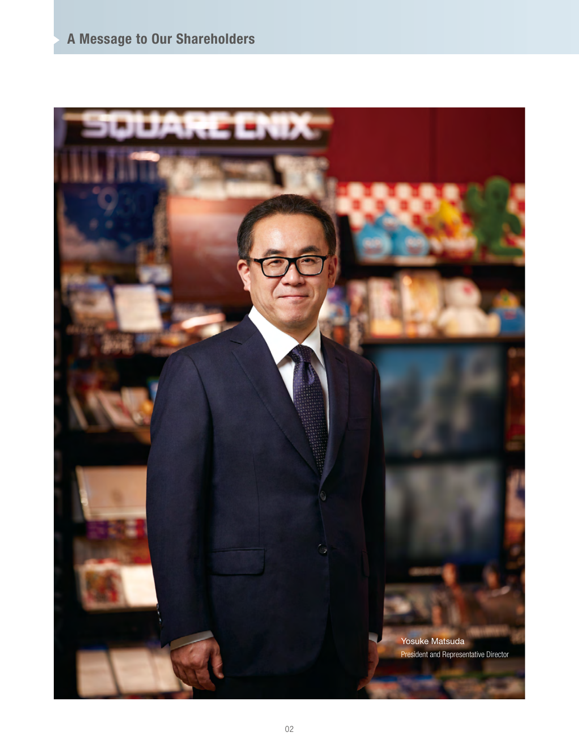# **A Message to Our Shareholders**

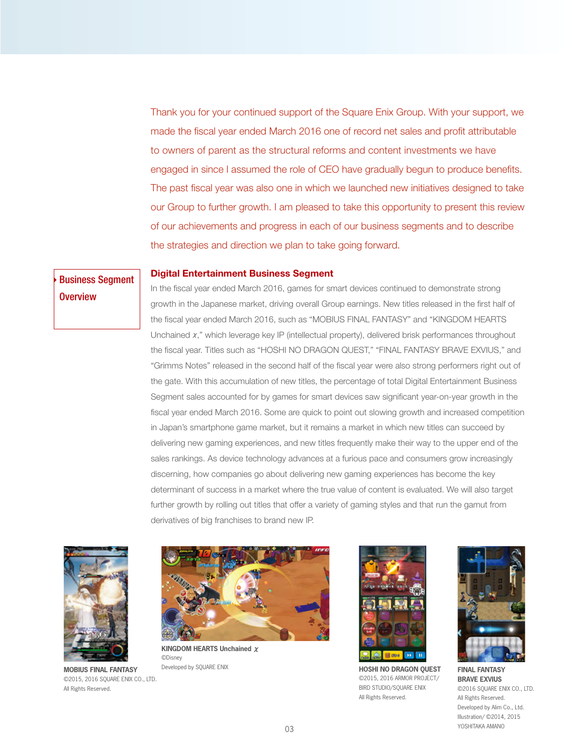Thank you for your continued support of the Square Enix Group. With your support, we made the fiscal year ended March 2016 one of record net sales and profit attributable to owners of parent as the structural reforms and content investments we have engaged in since I assumed the role of CEO have gradually begun to produce benefits. The past fiscal year was also one in which we launched new initiatives designed to take our Group to further growth. I am pleased to take this opportunity to present this review of our achievements and progress in each of our business segments and to describe the strategies and direction we plan to take going forward.

# **Digital Entertainment Business Segment**

# Business Segment Overview

In the fiscal year ended March 2016, games for smart devices continued to demonstrate strong growth in the Japanese market, driving overall Group earnings. New titles released in the first half of the fiscal year ended March 2016, such as "MOBIUS FINAL FANTASY" and "KINGDOM HEARTS Unchained  $x$ ," which leverage key IP (intellectual property), delivered brisk performances throughout the fiscal year. Titles such as "HOSHI NO DRAGON QUEST," "FINAL FANTASY BRAVE EXVIUS," and "Grimms Notes" released in the second half of the fiscal year were also strong performers right out of the gate. With this accumulation of new titles, the percentage of total Digital Entertainment Business Segment sales accounted for by games for smart devices saw significant year-on-year growth in the fiscal year ended March 2016. Some are quick to point out slowing growth and increased competition in Japan's smartphone game market, but it remains a market in which new titles can succeed by delivering new gaming experiences, and new titles frequently make their way to the upper end of the sales rankings. As device technology advances at a furious pace and consumers grow increasingly discerning, how companies go about delivering new gaming experiences has become the key determinant of success in a market where the true value of content is evaluated. We will also target further growth by rolling out titles that offer a variety of gaming styles and that run the gamut from derivatives of big franchises to brand new IP.



**MOBIUS FINAL FANTASY**  ©2015, 2016 SQUARE ENIX CO., LTD. All Rights Reserved.



**KINGDOM HEARTS Unchained** χ ©Disney



Developed by SQUARE ENIX **HOSHI NO DRAGON QUEST** ©2015, 2016 ARMOR PROJECT/ BIRD STUDIO/SQUARE ENIX All Rights Reserved.



**FINAL FANTASY BRAVE EXVIUS** ©2016 SQUARE ENIX CO., LTD. All Rights Reserved. Developed by Alim Co., Ltd. Illustration/ ©2014, 2015 YOSHITAKA AMANO 03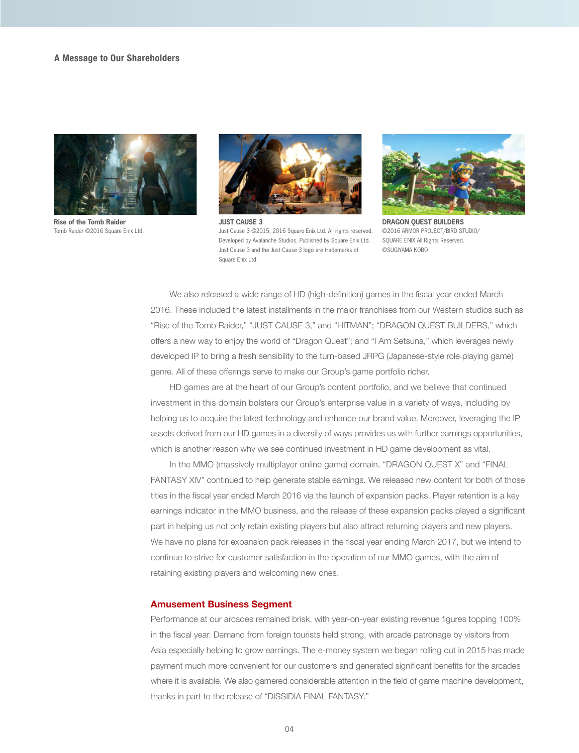## **A Message to Our Shareholders**



**Rise of the Tomb Raider** Tomb Raider ©2016 Square Enix Ltd.



**JUST CAUSE 3** Just Cause 3 ©2015, 2016 Square Enix Ltd. All rights reserved. Developed by Avalanche Studios. Published by Square Enix Ltd. Just Cause 3 and the Just Cause 3 logo are trademarks of Square Enix Ltd.



**DRAGON QUEST BUILDERS** ©2016 ARMOR PROJECT/BIRD STUDIO/ SQUARE ENIX All Rights Reserved. ©SUGIYAMA KOBO

 We also released a wide range of HD (high-definition) games in the fiscal year ended March 2016. These included the latest installments in the major franchises from our Western studios such as "Rise of the Tomb Raider," "JUST CAUSE 3," and "HITMAN"; "DRAGON QUEST BUILDERS," which offers a new way to enjoy the world of "Dragon Quest"; and "I Am Setsuna," which leverages newly developed IP to bring a fresh sensibility to the turn-based JRPG (Japanese-style role-playing game) genre. All of these offerings serve to make our Group's game portfolio richer.

 HD games are at the heart of our Group's content portfolio, and we believe that continued investment in this domain bolsters our Group's enterprise value in a variety of ways, including by helping us to acquire the latest technology and enhance our brand value. Moreover, leveraging the IP assets derived from our HD games in a diversity of ways provides us with further earnings opportunities, which is another reason why we see continued investment in HD game development as vital.

 In the MMO (massively multiplayer online game) domain, "DRAGON QUEST X" and "FINAL FANTASY XIV" continued to help generate stable earnings. We released new content for both of those titles in the fiscal year ended March 2016 via the launch of expansion packs. Player retention is a key earnings indicator in the MMO business, and the release of these expansion packs played a significant part in helping us not only retain existing players but also attract returning players and new players. We have no plans for expansion pack releases in the fiscal year ending March 2017, but we intend to continue to strive for customer satisfaction in the operation of our MMO games, with the aim of retaining existing players and welcoming new ones.

## **Amusement Business Segment**

Performance at our arcades remained brisk, with year-on-year existing revenue figures topping 100% in the fiscal year. Demand from foreign tourists held strong, with arcade patronage by visitors from Asia especially helping to grow earnings. The e-money system we began rolling out in 2015 has made payment much more convenient for our customers and generated significant benefits for the arcades where it is available. We also garnered considerable attention in the field of game machine development, thanks in part to the release of "DISSIDIA FINAL FANTASY."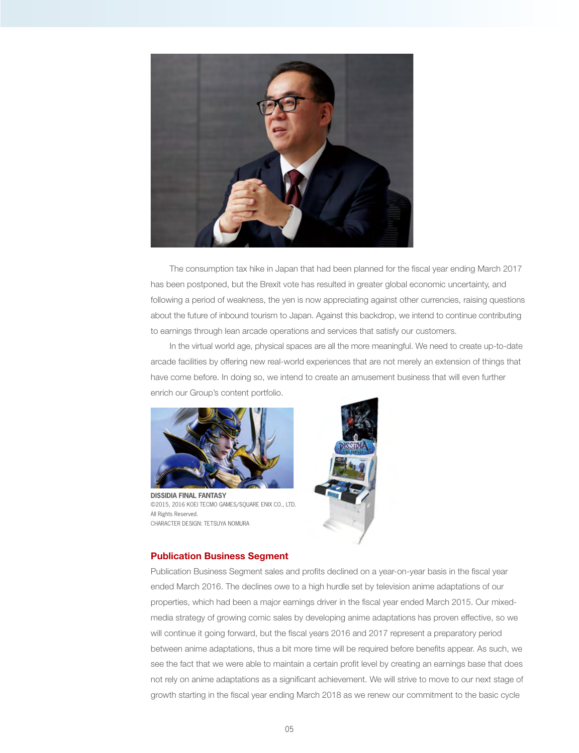

 The consumption tax hike in Japan that had been planned for the fiscal year ending March 2017 has been postponed, but the Brexit vote has resulted in greater global economic uncertainty, and following a period of weakness, the yen is now appreciating against other currencies, raising questions about the future of inbound tourism to Japan. Against this backdrop, we intend to continue contributing to earnings through lean arcade operations and services that satisfy our customers.

 In the virtual world age, physical spaces are all the more meaningful. We need to create up-to-date arcade facilities by offering new real-world experiences that are not merely an extension of things that have come before. In doing so, we intend to create an amusement business that will even further enrich our Group's content portfolio.



**DISSIDIA FINAL FANTASY** ©2015, 2016 KOEI TECMO GAMES/SQUARE ENIX CO., LTD. .All Rights Reserved. CHARACTER DESIGN: TETSUYA NOMURA



# **Publication Business Segment**

Publication Business Segment sales and profits declined on a year-on-year basis in the fiscal year ended March 2016. The declines owe to a high hurdle set by television anime adaptations of our properties, which had been a major earnings driver in the fiscal year ended March 2015. Our mixedmedia strategy of growing comic sales by developing anime adaptations has proven effective, so we will continue it going forward, but the fiscal years 2016 and 2017 represent a preparatory period between anime adaptations, thus a bit more time will be required before benefits appear. As such, we see the fact that we were able to maintain a certain profit level by creating an earnings base that does not rely on anime adaptations as a significant achievement. We will strive to move to our next stage of growth starting in the fiscal year ending March 2018 as we renew our commitment to the basic cycle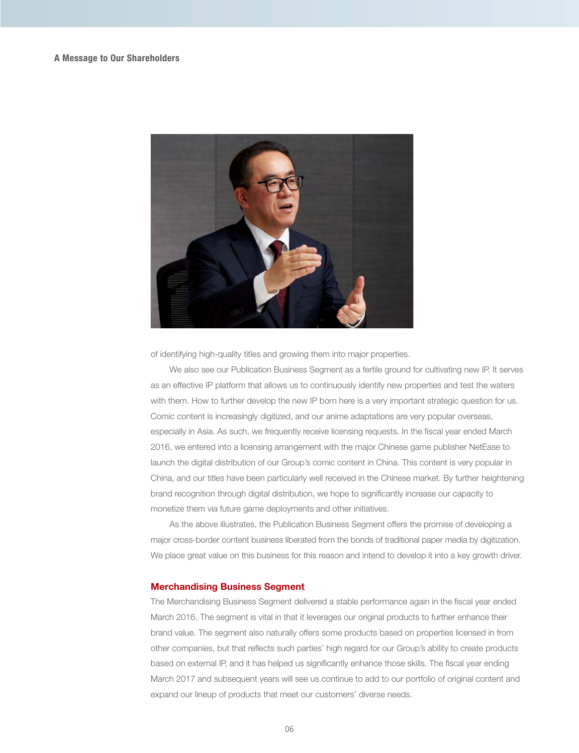

of identifying high-quality titles and growing them into major properties.

 We also see our Publication Business Segment as a fertile ground for cultivating new IP. It serves as an effective IP platform that allows us to continuously identify new properties and test the waters with them. How to further develop the new IP born here is a very important strategic question for us. Comic content is increasingly digitized, and our anime adaptations are very popular overseas, especially in Asia. As such, we frequently receive licensing requests. In the fiscal year ended March 2016, we entered into a licensing arrangement with the major Chinese game publisher NetEase to launch the digital distribution of our Group's comic content in China. This content is very popular in China, and our titles have been particularly well received in the Chinese market. By further heightening brand recognition through digital distribution, we hope to significantly increase our capacity to monetize them via future game deployments and other initiatives.

 As the above illustrates, the Publication Business Segment offers the promise of developing a major cross-border content business liberated from the bonds of traditional paper media by digitization. We place great value on this business for this reason and intend to develop it into a key growth driver.

# **Merchandising Business Segment**

The Merchandising Business Segment delivered a stable performance again in the fiscal year ended March 2016. The segment is vital in that it leverages our original products to further enhance their brand value. The segment also naturally offers some products based on properties licensed in from other companies, but that reflects such parties' high regard for our Group's ability to create products based on external IP, and it has helped us significantly enhance those skills. The fiscal year ending March 2017 and subsequent years will see us continue to add to our portfolio of original content and expand our lineup of products that meet our customers' diverse needs.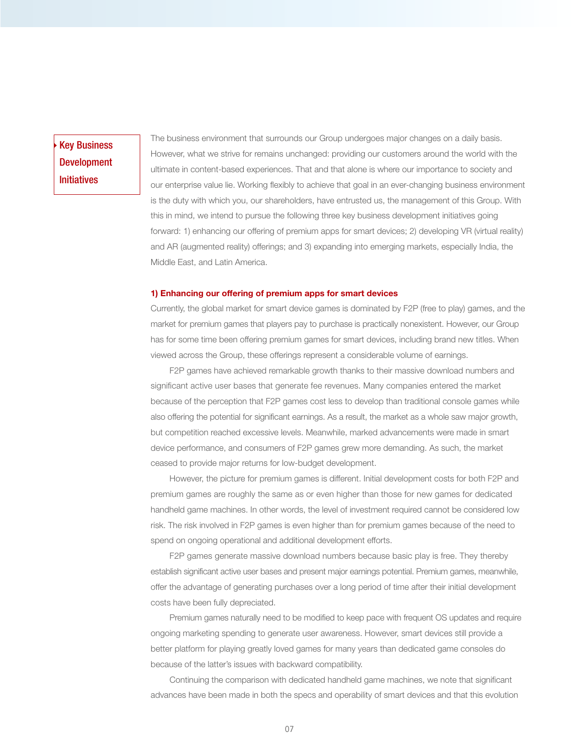Key Business Development Initiatives

The business environment that surrounds our Group undergoes major changes on a daily basis. However, what we strive for remains unchanged: providing our customers around the world with the ultimate in content-based experiences. That and that alone is where our importance to society and our enterprise value lie. Working flexibly to achieve that goal in an ever-changing business environment is the duty with which you, our shareholders, have entrusted us, the management of this Group. With this in mind, we intend to pursue the following three key business development initiatives going forward: 1) enhancing our offering of premium apps for smart devices; 2) developing VR (virtual reality) and AR (augmented reality) offerings; and 3) expanding into emerging markets, especially India, the Middle East, and Latin America.

#### **1) Enhancing our offering of premium apps for smart devices**

Currently, the global market for smart device games is dominated by F2P (free to play) games, and the market for premium games that players pay to purchase is practically nonexistent. However, our Group has for some time been offering premium games for smart devices, including brand new titles. When viewed across the Group, these offerings represent a considerable volume of earnings.

 F2P games have achieved remarkable growth thanks to their massive download numbers and significant active user bases that generate fee revenues. Many companies entered the market because of the perception that F2P games cost less to develop than traditional console games while also offering the potential for significant earnings. As a result, the market as a whole saw major growth, but competition reached excessive levels. Meanwhile, marked advancements were made in smart device performance, and consumers of F2P games grew more demanding. As such, the market ceased to provide major returns for low-budget development.

 However, the picture for premium games is different. Initial development costs for both F2P and premium games are roughly the same as or even higher than those for new games for dedicated handheld game machines. In other words, the level of investment required cannot be considered low risk. The risk involved in F2P games is even higher than for premium games because of the need to spend on ongoing operational and additional development efforts.

 F2P games generate massive download numbers because basic play is free. They thereby establish significant active user bases and present major earnings potential. Premium games, meanwhile, offer the advantage of generating purchases over a long period of time after their initial development costs have been fully depreciated.

 Premium games naturally need to be modified to keep pace with frequent OS updates and require ongoing marketing spending to generate user awareness. However, smart devices still provide a better platform for playing greatly loved games for many years than dedicated game consoles do because of the latter's issues with backward compatibility.

 Continuing the comparison with dedicated handheld game machines, we note that significant advances have been made in both the specs and operability of smart devices and that this evolution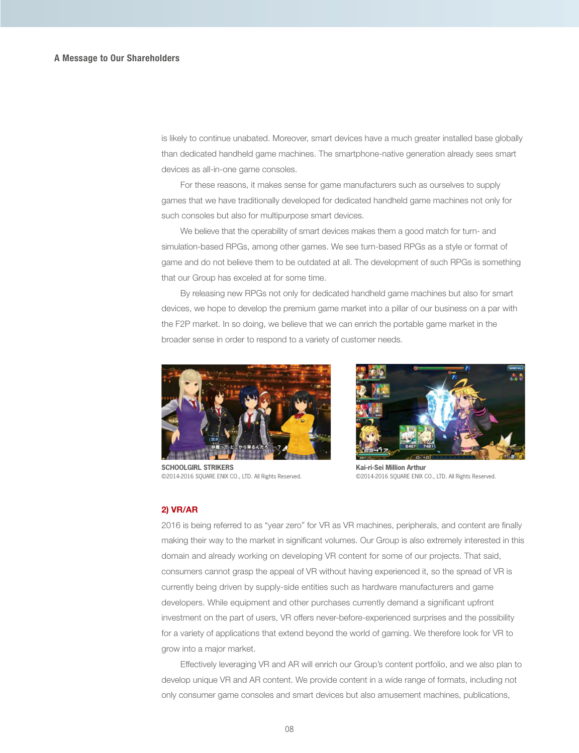is likely to continue unabated. Moreover, smart devices have a much greater installed base globally than dedicated handheld game machines. The smartphone-native generation already sees smart devices as all-in-one game consoles.

 For these reasons, it makes sense for game manufacturers such as ourselves to supply games that we have traditionally developed for dedicated handheld game machines not only for such consoles but also for multipurpose smart devices.

 We believe that the operability of smart devices makes them a good match for turn- and simulation-based RPGs, among other games. We see turn-based RPGs as a style or format of game and do not believe them to be outdated at all. The development of such RPGs is something that our Group has exceled at for some time.

 By releasing new RPGs not only for dedicated handheld game machines but also for smart devices, we hope to develop the premium game market into a pillar of our business on a par with the F2P market. In so doing, we believe that we can enrich the portable game market in the broader sense in order to respond to a variety of customer needs.



**SCHOOLGIRL STRIKERS** ©2014-2016 SQUARE ENIX CO., LTD. All Rights Reserved.



**Kai-ri-Sei Million Arthur** ©2014-2016 SQUARE ENIX CO., LTD. All Rights Reserved.

## **2) VR/AR**

2016 is being referred to as "year zero" for VR as VR machines, peripherals, and content are finally making their way to the market in significant volumes. Our Group is also extremely interested in this domain and already working on developing VR content for some of our projects. That said, consumers cannot grasp the appeal of VR without having experienced it, so the spread of VR is currently being driven by supply-side entities such as hardware manufacturers and game developers. While equipment and other purchases currently demand a significant upfront investment on the part of users, VR offers never-before-experienced surprises and the possibility for a variety of applications that extend beyond the world of gaming. We therefore look for VR to grow into a major market.

 Effectively leveraging VR and AR will enrich our Group's content portfolio, and we also plan to develop unique VR and AR content. We provide content in a wide range of formats, including not only consumer game consoles and smart devices but also amusement machines, publications,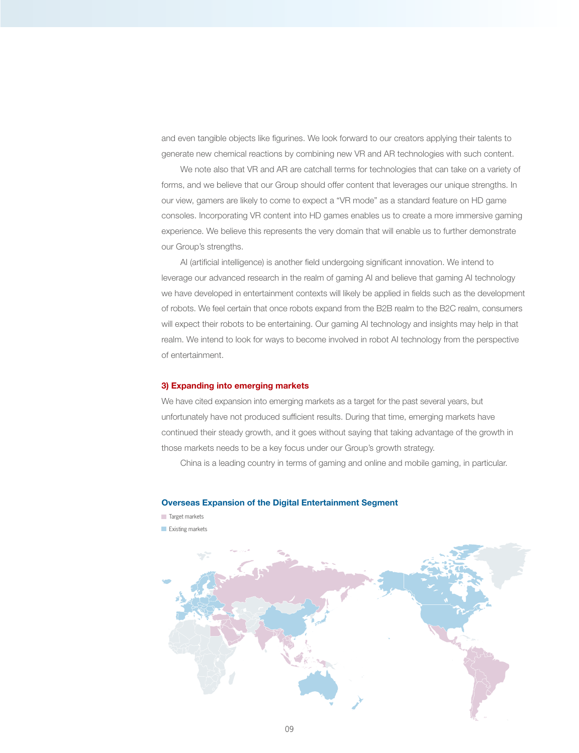and even tangible objects like figurines. We look forward to our creators applying their talents to generate new chemical reactions by combining new VR and AR technologies with such content.

 We note also that VR and AR are catchall terms for technologies that can take on a variety of forms, and we believe that our Group should offer content that leverages our unique strengths. In our view, gamers are likely to come to expect a "VR mode" as a standard feature on HD game consoles. Incorporating VR content into HD games enables us to create a more immersive gaming experience. We believe this represents the very domain that will enable us to further demonstrate our Group's strengths.

 AI (artificial intelligence) is another field undergoing significant innovation. We intend to leverage our advanced research in the realm of gaming AI and believe that gaming AI technology we have developed in entertainment contexts will likely be applied in fields such as the development of robots. We feel certain that once robots expand from the B2B realm to the B2C realm, consumers will expect their robots to be entertaining. Our gaming AI technology and insights may help in that realm. We intend to look for ways to become involved in robot AI technology from the perspective of entertainment.

# **3) Expanding into emerging markets**

We have cited expansion into emerging markets as a target for the past several years, but unfortunately have not produced sufficient results. During that time, emerging markets have continued their steady growth, and it goes without saying that taking advantage of the growth in those markets needs to be a key focus under our Group's growth strategy.

China is a leading country in terms of gaming and online and mobile gaming, in particular.

# **Overseas Expansion of the Digital Entertainment Segment**

- Target markets
- **Existing markets**